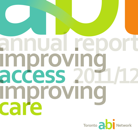## ammual rec OF Improvin access 20 Improvinc care

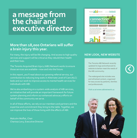### **a!message!from! the!chair!and! executive director**

#### **More than 18,000 Ontarians will suffer** a brain injury this year.

For many, the injury will be life changing. And access to high quality services and support will be critical as they rebuild their health and their lives.

The Toronto Acquired Brain Injury (ABI) Network works to ensure those services are available—now and into the future.

In this report, you'll read about our growing referral service, our contribution to reducing long waits in Alternate Level of Care (ALC) beds and our work to improve access to mental health services for  $individuals with ABL.$ 

We're also embarking on a system-wide analysis of ABI services, an initiative that will provide an important framework for future system planning and inform our enhanced advocacy efforts on behalf of the community we serve.

In all of these efforts, we rely on our members and partners and the expertise and commitment they bring to the table. Together, we can improve the lives of those living with the effects of ABI.

Malcolm Moffat, Chair Charissa Levy, Executive Director



#### **NEW LOOK, NEW WEBSITE**

The Toronto ABI Network recently updated its logo and enhanced its website to better meet the needs of the ABI community.

The redesigned site includes new and refreshed content, organized for easy access by patients, families and professionals.

**Visit!us!at!www.abinetwork.ca!**



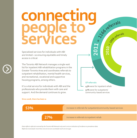### connecting 2011 - 25 ceferrals people to services

Specialized services for individuals with ABI are limited-so ensuring equitable and timely access is critical.

The Toronto ABI Network manages a single wait list for inpatient ABI rehabilitation programs in the Greater Toronto Area and coordinates referrals to outpatient rehabilitation, mental health services, and recreational, vocational and supportive housing programs, among others.

It's a vital service for individuals with ABI and the professionals who provide them with care and support. And the demand continues to grow.



2010 - Joseferrals

#### Since 2008, there has been a:

53% increase in referrals for outpatient/community-based services 27% increase in referrals to inpatient rehab

Data reflects referrals received by the Toronto ABI Network only and is not an indication of incidence or prevalence data. Referrals received for more than one service are counted for each service type.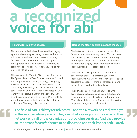# **a!recognized! voice!for!abi**

#### **Planning for improved services**

The needs of individuals with acquired brain injury significantly outweigh existing services and support. Individuals spend months and years on waiting lists for services such as community-based supports and supportive housing. But there is currently no coordinated provincial or GTA strategy to plan for improved ABI services.

This past year, the Toronto ABI Network formed an ABI System Analysis Task Group to initiate a focused and comprehensive planning strategy. The group, which includes representatives from across the ABI community, is currently focused on establishing shared concerns and a unified message. Next steps include identifying opportunities that are aligned with the priorities and planning cycle of the LHINs in order to strengthen planning efforts and build a sustained profile for ABI among policy-makers.

#### **Raising the alarm on auto insurance changes**

The Network continues its advocacy on revisions to Ontario's auto insurance legislation. This past year, the Network joined others in the ABI community to arque against proposed revisions to the definition of catastrophic injury that will reduce the benefits individuals can access after a car crash.

The Network participated in the government's consultation process, expressing concern that individuals with ABI will no longer have access to the services they need, resulting in increased demand on an already overburdened public system.

The Network also hosted a consultation with acute care, rehabilitation and CCAC providers and representatives from the Alliance of Community Medical and Rehabilitation Providers to discuss the proposed changes and their impact.

The field of ABI is thirsty for advocacy—and the Network has real strength in the service delivery arena. They see what's going on in the system. They **network with all of the organizations providing services. And they provide** an important forum for issues to be discussed and their impact articulated.

Corinne Kagan | Senior Program Director, ABI | Ontario Neurotrauma Foundation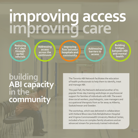# **Improving access**<br>improving care

**Reducing! ALC!days! through! earlier! referrals**

**Addressing! access! across!the! continuum**

**Improving!** flow between **hospitals!and! community**

**Addressing! barriers!to! access**

**Building! bridges! between!ABI! and!mental! health**

### **building( ABI** capacity **in#the community**

The Toronto ABI Network facilitates the education of health professionals to help them to identify, treat and manage ABI.

This past fall, the Network delivered another of its popular three-day training workshops on psychosocial support for families of individuals with ABI. The event drew social workers, psychologists, case managers and occupational therapists from as far away as Alberta, Saskatchewan and Sweden.

The workshop, which was delivered in collaboration with Holland Bloorview Kids Rehabilitation Hospital and Virginia Commonwealth University Medical Center, included a focus on complex family situations and an advanced stream for previously trained individuals.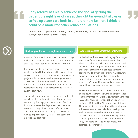**Early referral has really achieved the goal of getting the** patient the right level of care at the right time—and it allows us to free up acute care beds in a more timely fashion. I think it could be a model for other rehab populations.

Debra Carew | Operations Director, Trauma, Emergency, Critical Care and Patient Flow **Sunnybrook Health Sciences Centre** 

#### **Reducing ALC days through earlier referrals**

A successful Network initiative to reduce ALC days is changing practice across the GTA and improving access to rehabilitation for individuals with ABI.

Previously, acute care hospitals sent referrals for inpatient rehabilitation when, or after, a patient was considered rehab ready. A Network demonstration project with the trauma and neurosurgery units at St. Michael's, Sunnybrook Health Sciences Centre and Toronto Western Hospital tested the feasibility and impact of a streamlined referral at 14 days post injury.

The results were impressive: the mean number of days from date of injury to date of transfer was reduced by five days; and the number of ALC days in acute care was five days lower than patients referred through the standard referral process. The Network worked with hospitals across the GTA to implement early referral as a standard practice this past year.

#### Addressing access across the continuum

Individuals with acquired brain injury face longer wait times for inpatient rehabilitation than almost all other rehabilitation populations. And individuals with complex needs have significant challenges accessing ABI services across the continuum. This year, the Toronto ABI Network began a system-wide analysis to identify opportunities to improve patient flow, enhance access to ABI rehabilitation, and decrease the variability of resources across the system.

The Network will conduct surveys of providers and review data from the Canadian Institute for Health Information's Discharge Abstract Database (DAD), the National Rehabilitation Reporting System (NRS), and the Network's own database. The analysis, to be completed in the coming year, will assess: resources available across inpatient and outpatient ABI rehabilitation; access to rehabilitation relative to the complexity of the patient's profile; and rehabilitation outcomes (e.g., FIM score, average length of stay and discharge destination.)



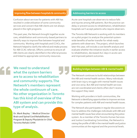#### **Improving flow between hospitals & community**

Confusion about services for patients with ABI has resulted in underutilization of some community services and concern that ABI clients are not always placed in the right programs.

This past year, the Network brought together acute care, rehabilitation and community-based partners to identify ways to improve flow between hospital and community. Working with hospitals and CCACs, the Network helped to clarify the referral and intake process for ABI CCAC referrals. Efforts continue to ensure all ABI clients are clearly identified in the referral process and linked to appropriate community resources.

#### **Addressing barriers to access**

Acute care hospitals use observers to reduce falls and injuries among ABI patients. But the practice can delay or prevent access to rehabilitation; rehabilitation hospitals can't accept patients who require observers.

The Toronto ABI Network is working with its members on a pilot project to analyze the potential systemwide benefits of earlier transfer for rehab ready patients with observers. The project, which launches later this year, will include a cost benefit analysis and evaluate whether the initiative results in earlier access to rehabilitation, decreased ALC days in acute care and improved patient outcomes.

**We need to understand what the system barriers** are to access to rehabilitation and community supports. The **Network's members represent** the whole continuum of care. **No other organization in Toronto** has this kind of overview of the **ABI system and can provide this** type of analysis.

**Dr. Mark Bayley | Medical Director Brain and Spinal Cord Rehabilitation Program & Deputy Physiatrist-in-Chief Toronto!Rehab!/UHN**



The Network continues to build relationships between the ABI and mental health sectors. Many individuals with brain injury struggle with mental health issues and vice versa. But ABI and mental health services are not coordinated and clients often don't receive the support they need.

Working with providers in both communities, the Network is identifying opportunities to improve services for complex patients with ABI and mental health issues.

The Network also participates in regular discussions on how to address the challenges individuals with ABI and mental health issues face when encountering the justice system. As a member of the Toronto Human Services and Justice Coordinating Committee, the Network is raising the profile of ABI in the mental health and justice communities at the regional and the provincial levels.